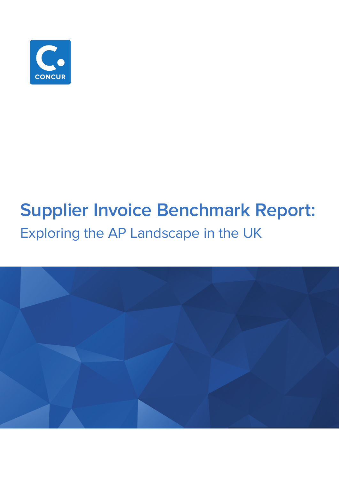

## **Supplier Invoice Benchmark Report:** Exploring the AP Landscape in the UK

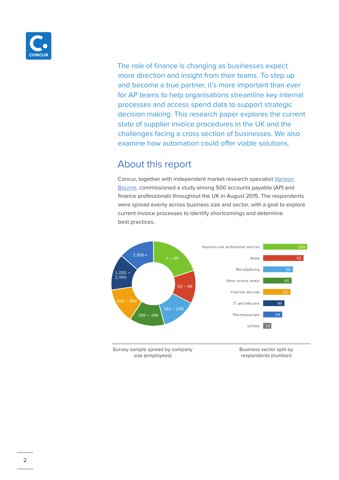

 The role of finance is changing as businesses expect more direction and insight from their teams. To step up and become a true partner, it's more important than ever for AP teams to help organisations streamline key internal processes and access spend data to support strategic decision making. This research paper explores the current state of supplier invoice procedures in the UK and the challenges facing a cross section of businesses. We also examine how automation could offer viable solutions.

### About this report

Concur, together with independent market research specialist [Vanson](http://www.vansonbourne.com/)  [Bourne,](http://www.vansonbourne.com/) commissioned a study among 500 accounts payable (AP) and finance professionals throughout the UK in August 2015. The respondents were spread evenly across business size and sector, with a goal to explore current invoice processes to identify shortcomings and determine best practices.

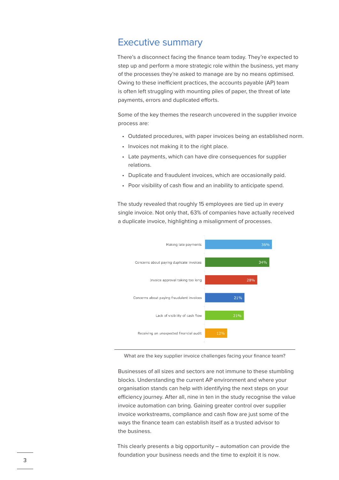### Executive summary

There's a disconnect facing the finance team today. They're expected to step up and perform a more strategic role within the business, yet many of the processes they're asked to manage are by no means optimised. Owing to these inefficient practices, the accounts payable (AP) team is often left struggling with mounting piles of paper, the threat of late payments, errors and duplicated efforts.

Some of the key themes the research uncovered in the supplier invoice process are:

- Outdated procedures, with paper invoices being an established norm.
- Invoices not making it to the right place.
- Late payments, which can have dire consequences for supplier relations.
- Duplicate and fraudulent invoices, which are occasionally paid.
- Poor visibility of cash flow and an inability to anticipate spend.

The study revealed that roughly 15 employees are tied up in every single invoice. Not only that, 63% of companies have actually received a duplicate invoice, highlighting a misalignment of processes.



What are the key supplier invoice challenges facing your finance team?

Businesses of all sizes and sectors are not immune to these stumbling blocks. Understanding the current AP environment and where your organisation stands can help with identifying the next steps on your efficiency journey. After all, nine in ten in the study recognise the value invoice automation can bring. Gaining greater control over supplier invoice workstreams, compliance and cash flow are just some of the ways the finance team can establish itself as a trusted advisor to the business.

This clearly presents a big opportunity – automation can provide the foundation your business needs and the time to exploit it is now.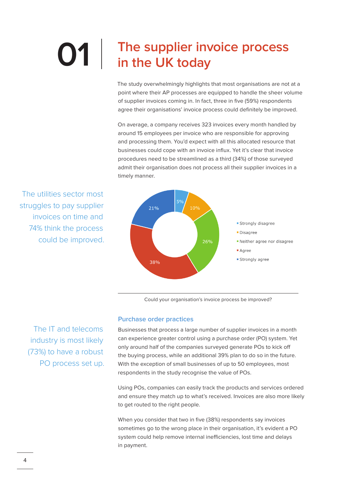## **The supplier invoice process in the UK today 01**

The study overwhelmingly highlights that most organisations are not at a point where their AP processes are equipped to handle the sheer volume of supplier invoices coming in. In fact, three in five (59%) respondents agree their organisations' invoice process could definitely be improved.

On average, a company receives 323 invoices every month handled by around 15 employees per invoice who are responsible for approving and processing them. You'd expect with all this allocated resource that businesses could cope with an invoice influx. Yet it's clear that invoice procedures need to be streamlined as a third (34%) of those surveyed admit their organisation does not process all their supplier invoices in a timely manner.





Could your organisation's invoice process be improved?

The IT and telecoms industry is most likely (73%) to have a robust PO process set up.

### **Purchase order practices**

Businesses that process a large number of supplier invoices in a month can experience greater control using a purchase order (PO) system. Yet only around half of the companies surveyed generate POs to kick off the buying process, while an additional 39% plan to do so in the future. With the exception of small businesses of up to 50 employees, most respondents in the study recognise the value of POs.

Using POs, companies can easily track the products and services ordered and ensure they match up to what's received. Invoices are also more likely to get routed to the right people.

When you consider that two in five (38%) respondents say invoices sometimes go to the wrong place in their organisation, it's evident a PO system could help remove internal inefficiencies, lost time and delays in payment.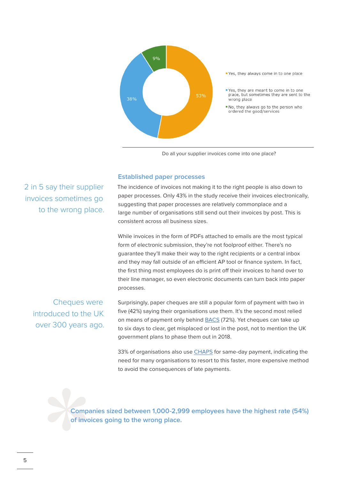

Do all your supplier invoices come into one place?

### **Established paper processes**

2 in 5 say their supplier invoices sometimes go to the wrong place.

The incidence of invoices not making it to the right people is also down to paper processes. Only 43% in the study receive their invoices electronically, suggesting that paper processes are relatively commonplace and a large number of organisations still send out their invoices by post. This is consistent across all business sizes.

While invoices in the form of PDFs attached to emails are the most typical form of electronic submission, they're not foolproof either. There's no guarantee they'll make their way to the right recipients or a central inbox and they may fall outside of an efficient AP tool or finance system. In fact, the first thing most employees do is print off their invoices to hand over to their line manager, so even electronic documents can turn back into paper processes.

Cheques were introduced to the UK over 300 years ago. Surprisingly, paper cheques are still a popular form of payment with two in five (42%) saying their organisations use them. It's the second most relied on means of payment only behind **[BACS](http://www.bacs.co.uk/Bacs/Corporate/Pages/default.aspx)** (72%). Yet cheques can take up to six days to clear, get misplaced or lost in the post, not to mention the UK government plans to phase them out in 2018.

33% of organisations also use [CHAPS](http://www.chapsco.co.uk/) for same-day payment, indicating the need for many organisations to resort to this faster, more expensive method to avoid the consequences of late payments.

**Companies sized between 1,000-2,999 employees have the highest rate (54%) of invoices going to the wrong place.**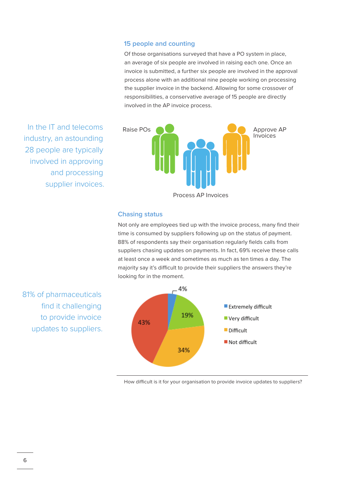### **15 people and counting**

Of those organisations surveyed that have a PO system in place, an average of six people are involved in raising each one. Once an invoice is submitted, a further six people are involved in the approval process alone with an additional nine people working on processing the supplier invoice in the backend. Allowing for some crossover of responsibilities, a conservative average of 15 people are directly involved in the AP invoice process.

In the IT and telecoms industry, an astounding 28 people are typically involved in approving and processing supplier invoices.



### **Chasing status**

Not only are employees tied up with the invoice process, many find their time is consumed by suppliers following up on the status of payment. 88% of respondents say their organisation regularly fields calls from suppliers chasing updates on payments. In fact, 69% receive these calls at least once a week and sometimes as much as ten times a day. The majority say it's difficult to provide their suppliers the answers they're looking for in the moment.



How difficult is it for your organisation to provide invoice updates to suppliers?

81% of pharmaceuticals find it challenging to provide invoice updates to suppliers.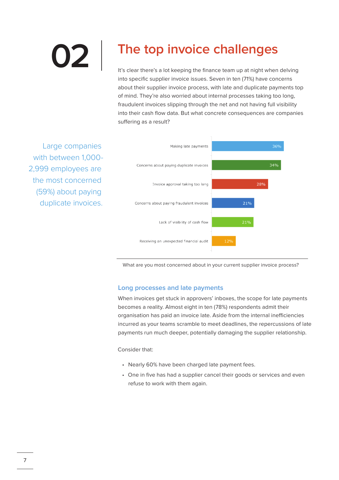# **02 The top invoice challenges**

It's clear there's a lot keeping the finance team up at night when delving into specific supplier invoice issues. Seven in ten (71%) have concerns about their supplier invoice process, with late and duplicate payments top of mind. They're also worried about internal processes taking too long, fraudulent invoices slipping through the net and not having full visibility into their cash flow data. But what concrete consequences are companies suffering as a result?

Large companies with between 1,000- 2,999 employees are the most concerned (59%) about paying duplicate invoices.



What are you most concerned about in your current supplier invoice process?

### **Long processes and late payments**

When invoices get stuck in approvers' inboxes, the scope for late payments becomes a reality. Almost eight in ten (78%) respondents admit their organisation has paid an invoice late. Aside from the internal inefficiencies incurred as your teams scramble to meet deadlines, the repercussions of late payments run much deeper, potentially damaging the supplier relationship.

Consider that:

- Nearly 60% have been charged late payment fees.
- One in five has had a supplier cancel their goods or services and even refuse to work with them again.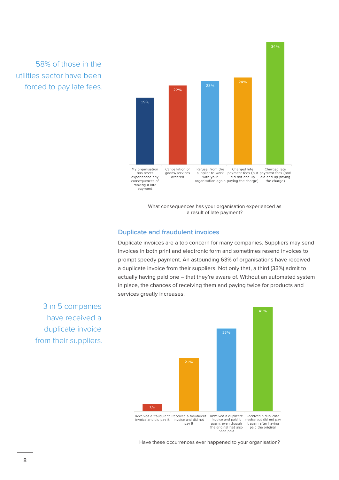58% of those in the utilities sector have been forced to pay late fees.



What consequences has your organisation experienced as a result of late payment?

### **Duplicate and fraudulent invoices**

Duplicate invoices are a top concern for many companies. Suppliers may send invoices in both print and electronic form and sometimes resend invoices to prompt speedy payment. An astounding 63% of organisations have received a duplicate invoice from their suppliers. Not only that, a third (33%) admit to actually having paid one – that they're aware of. Without an automated system in place, the chances of receiving them and paying twice for products and services greatly increases.

 $41%$ 33%  $3%$ Received a duplicate<br>invoice and paid it Peceived a duplicate<br>invoice but did not pay Received a fraudulent Received a fraudulent invoice and did pay it invoice and did not again, even though<br>the original had also it again after having pay it paid the original been paid

3 in 5 companies have received a duplicate invoice from their suppliers.

Have these occurrences ever happened to your organisation?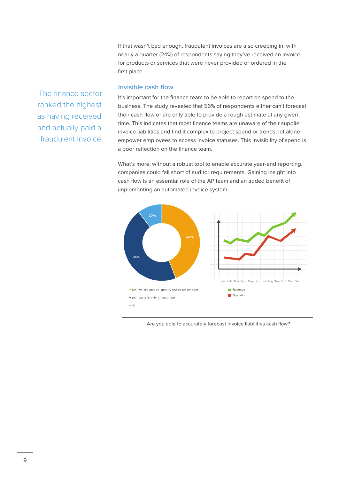If that wasn't bad enough, fraudulent invoices are also creeping in, with nearly a quarter (24%) of respondents saying they've received an invoice for products or services that were never provided or ordered in the first place.

### **Invisible cash flow**

The finance sector ranked the highest as having received and actually paid a fraudulent invoice.

It's important for the finance team to be able to report on spend to the business. The study revealed that 56% of respondents either can't forecast their cash flow or are only able to provide a rough estimate at any given time. This indicates that most finance teams are unaware of their supplier invoice liabilities and find it complex to project spend or trends, let alone empower employees to access invoice statuses. This invisibility of spend is a poor reflection on the finance team.

What's more, without a robust tool to enable accurate year-end reporting, companies could fall short of auditor requirements. Gaining insight into cash flow is an essential role of the AP team and an added benefit of implementing an automated invoice system.



Are you able to accurately forecast invoice liabilities cash flow?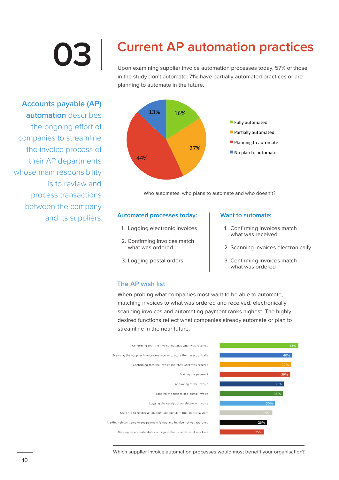# **03**

## **Current AP automation practices**

Upon examining supplier invoice automation processes today, 57% of those in the study don't automate. 71% have partially automated practices or are planning to automate in the future.

**Accounts payable (AP) automation** describes the ongoing effort of companies to streamline the invoice process of their AP departments whose main responsibility is to review and process transactions between the company and its suppliers.



Who automates, who plans to automate and who doesn't?

### **Automated processes today:**

- 1. Logging electronic invoices
- 2. Confirming invoices match what was ordered
- 3. Logging postal orders

### **Want to automate:**

- 1. Confirming invoices match what was received
- 2. Scanning invoices electronically
- 3. Confirming invoices match what was ordered

### **The AP wish list**

When probing what companies most want to be able to automate, matching invoices to what was ordered and received, electronically scanning invoices and automating payment ranks highest. The highly desired functions reflect what companies already automate or plan to streamline in the near future.



Which supplier invoice automation processes would most benefit your organisation?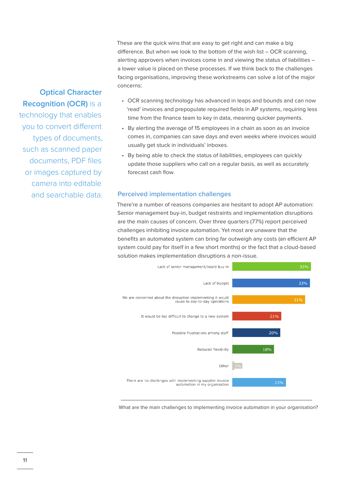These are the quick wins that are easy to get right and can make a big difference. But when we look to the bottom of the wish list – OCR scanning, alerting approvers when invoices come in and viewing the status of liabilities – a lower value is placed on these processes. If we think back to the challenges facing organisations, improving these workstreams can solve a lot of the major concerns:

**Optical Character Recognition (OCR)** is a technology that enables you to convert different types of documents, such as scanned paper documents, PDF files or images captured by camera into editable and searchable data.

- OCR scanning technology has advanced in leaps and bounds and can now 'read' invoices and prepopulate required fields in AP systems, requiring less time from the finance team to key in data, meaning quicker payments.
- By alerting the average of 15 employees in a chain as soon as an invoice comes in, companies can save days and even weeks where invoices would usually get stuck in individuals' inboxes.
- By being able to check the status of liabilities, employees can quickly update those suppliers who call on a regular basis, as well as accurately forecast cash flow.

### **Perceived implementation challenges**

There're a number of reasons companies are hesitant to adopt AP automation: Senior management buy-in, budget restraints and implementation disruptions are the main causes of concern. Over three quarters (77%) report perceived challenges inhibiting invoice automation. Yet most are unaware that the benefits an automated system can bring far outweigh any costs (an efficient AP system could pay for itself in a few short months) or the fact that a cloud-based solution makes implementation disruptions a non-issue.



What are the main challenges to implementing invoice automation in your organisation?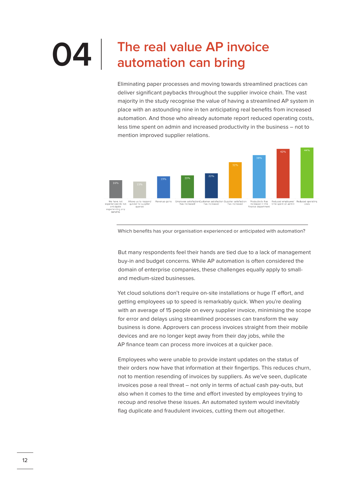## **04 The real value AP invoice automation can bring**

Eliminating paper processes and moving towards streamlined practices can deliver significant paybacks throughout the supplier invoice chain. The vast majority in the study recognise the value of having a streamlined AP system in place with an astounding nine in ten anticipating real benefits from increased automation. And those who already automate report reduced operating costs, less time spent on admin and increased productivity in the business – not to mention improved supplier relations.



Which benefits has your organisation experienced or anticipated with automation?

But many respondents feel their hands are tied due to a lack of management buy-in and budget concerns. While AP automation is often considered the domain of enterprise companies, these challenges equally apply to smalland medium-sized businesses.

Yet cloud solutions don't require on-site installations or huge IT effort, and getting employees up to speed is remarkably quick. When you're dealing with an average of 15 people on every supplier invoice, minimising the scope for error and delays using streamlined processes can transform the way business is done. Approvers can process invoices straight from their mobile devices and are no longer kept away from their day jobs, while the AP finance team can process more invoices at a quicker pace.

Employees who were unable to provide instant updates on the status of their orders now have that information at their fingertips. This reduces churn, not to mention resending of invoices by suppliers. As we've seen, duplicate invoices pose a real threat – not only in terms of actual cash pay-outs, but also when it comes to the time and effort invested by employees trying to recoup and resolve these issues. An automated system would inevitably flag duplicate and fraudulent invoices, cutting them out altogether.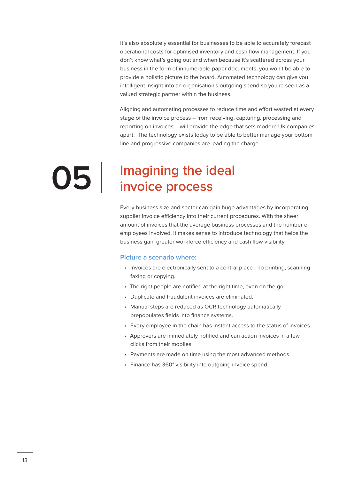It's also absolutely essential for businesses to be able to accurately forecast operational costs for optimised inventory and cash flow management. If you don't know what's going out and when because it's scattered across your business in the form of innumerable paper documents, you won't be able to provide a holistic picture to the board. Automated technology can give you intelligent insight into an organisation's outgoing spend so you're seen as a valued strategic partner within the business.

Aligning and automating processes to reduce time and effort wasted at every stage of the invoice process – from receiving, capturing, processing and reporting on invoices – will provide the edge that sets modern UK companies apart. The technology exists today to be able to better manage your bottom line and progressive companies are leading the charge.

## **Imagining the ideal invoice process**

**05**

Every business size and sector can gain huge advantages by incorporating supplier invoice efficiency into their current procedures. With the sheer amount of invoices that the average business processes and the number of employees involved, it makes sense to introduce technology that helps the business gain greater workforce efficiency and cash flow visibility.

### **Picture a scenario where:**

- Invoices are electronically sent to a central place no printing, scanning, faxing or copying.
- The right people are notified at the right time, even on the go.
- Duplicate and fraudulent invoices are eliminated.
- Manual steps are reduced as OCR technology automatically prepopulates fields into finance systems.
- Every employee in the chain has instant access to the status of invoices.
- Approvers are immediately notified and can action invoices in a few clicks from their mobiles.
- Payments are made on time using the most advanced methods.
- Finance has 360° visibility into outgoing invoice spend.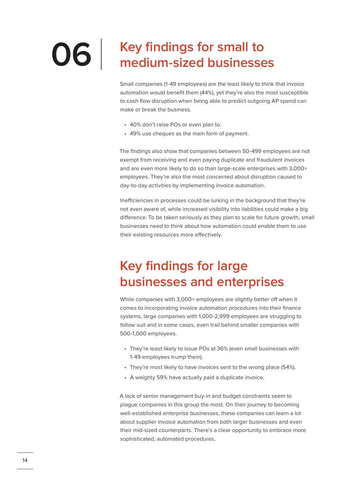## **06 Key findings for small to medium-sized businesses**

Small companies (1-49 employees) are the least likely to think that invoice automation would benefit them (44%), yet they're also the most susceptible to cash flow disruption when being able to predict outgoing AP spend can make or break the business.

- 40% don't raise POs or even plan to.
- 49% use cheques as the main form of payment.

The findings also show that companies between 50-499 employees are not exempt from receiving and even paying duplicate and fraudulent invoices and are even more likely to do so than large-scale enterprises with 3,000+ employees. They're also the most concerned about disruption caused to day-to-day activities by implementing invoice automation.

Inefficiencies in processes could be lurking in the background that they're not even aware of, while increased visibility into liabilities could make a big difference. To be taken seriously as they plan to scale for future growth, small businesses need to think about how automation could enable them to use their existing resources more effectively.

## **Key findings for large businesses and enterprises**

While companies with 3,000+ employees are slightly better off when it comes to incorporating invoice automation procedures into their finance systems, large companies with 1,000-2,999 employees are struggling to follow suit and in some cases, even trail behind smaller companies with 500-1,000 employees.

- They're least likely to issue POs at 36% (even small businesses with 1-49 employees trump them).
- They're most likely to have invoices sent to the wrong place (54%).
- A weighty 59% have actually paid a duplicate invoice.

A lack of senior management buy-in and budget constraints seem to plague companies in this group the most. On their journey to becoming well-established enterprise businesses, these companies can learn a lot about supplier invoice automation from both larger businesses and even their mid-sized counterparts. There's a clear opportunity to embrace more sophisticated, automated procedures.